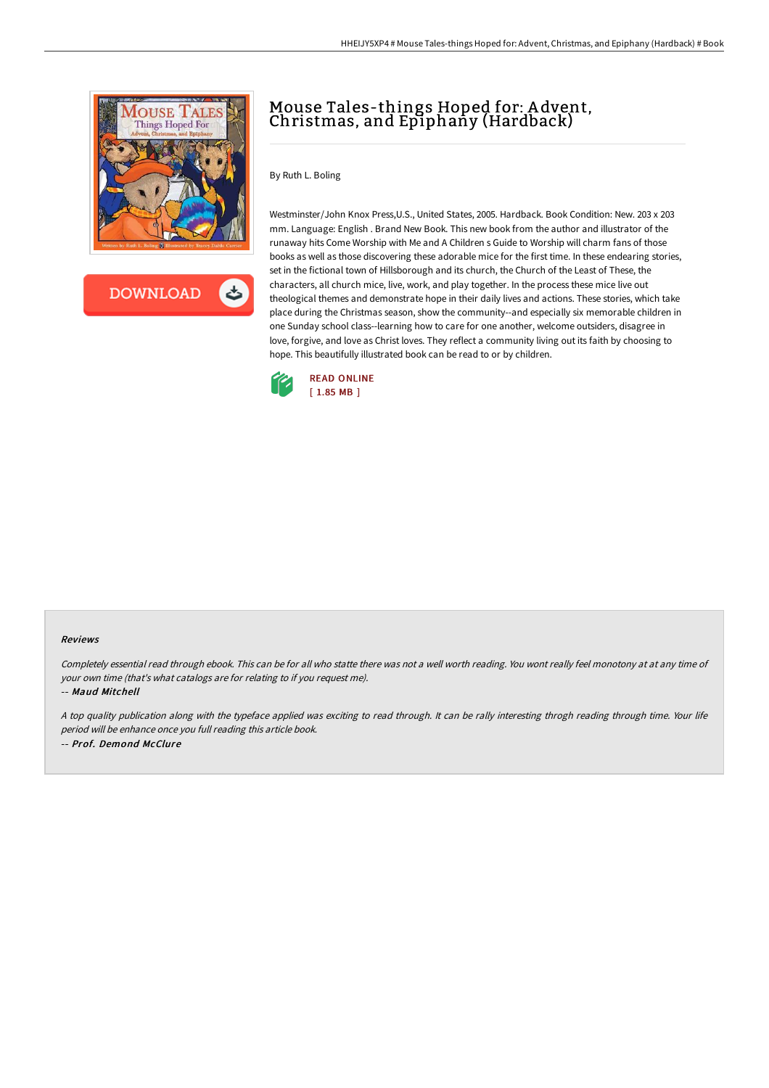

**DOWNLOAD** 

## Mouse Tales-things Hoped for: A dvent, Christmas, and Epiphany (Hardback)

By Ruth L. Boling

Westminster/John Knox Press,U.S., United States, 2005. Hardback. Book Condition: New. 203 x 203 mm. Language: English . Brand New Book. This new book from the author and illustrator of the runaway hits Come Worship with Me and A Children s Guide to Worship will charm fans of those books as well as those discovering these adorable mice for the first time. In these endearing stories, set in the fictional town of Hillsborough and its church, the Church of the Least of These, the characters, all church mice, live, work, and play together. In the process these mice live out theological themes and demonstrate hope in their daily lives and actions. These stories, which take place during the Christmas season, show the community--and especially six memorable children in one Sunday school class--learning how to care for one another, welcome outsiders, disagree in love, forgive, and love as Christ loves. They reflect a community living out its faith by choosing to hope. This beautifully illustrated book can be read to or by children.



## Reviews

Completely essential read through ebook. This can be for all who statte there was not <sup>a</sup> well worth reading. You wont really feel monotony at at any time of your own time (that's what catalogs are for relating to if you request me).

-- Maud Mitchell

<sup>A</sup> top quality publication along with the typeface applied was exciting to read through. It can be rally interesting throgh reading through time. Your life period will be enhance once you full reading this article book. -- Prof. Demond McClure